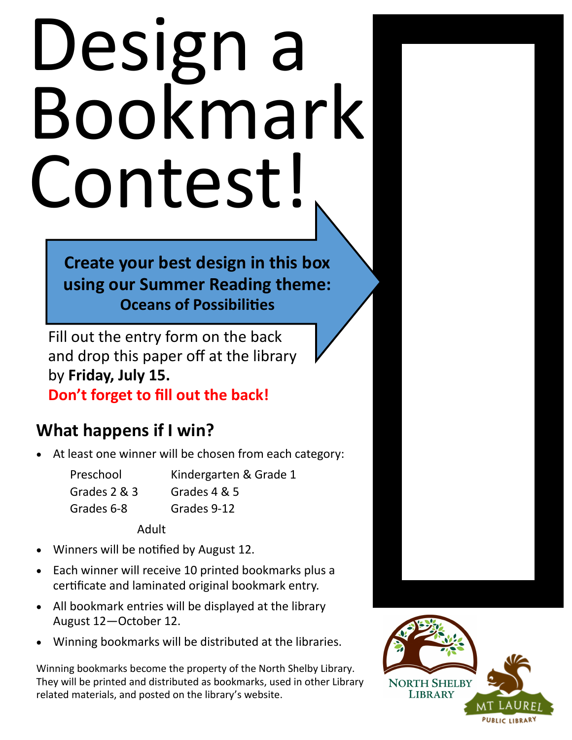## Design a Bookmark Contest!

**Create your best design in this box using our Summer Reading theme: Oceans of Possibilities**

Fill out the entry form on the back and drop this paper off at the library by **Friday, July 15.** 

**Don't forget to fill out the back!**

## **What happens if I win?**

At least one winner will be chosen from each category:

| Kindergarten & Grade 1 |
|------------------------|
| Grades 4 & 5           |
| Grades 9-12            |
|                        |

Adult

- Winners will be notified by August 12.
- Each winner will receive 10 printed bookmarks plus a certificate and laminated original bookmark entry.
- All bookmark entries will be displayed at the library August 12—October 12.
- Winning bookmarks will be distributed at the libraries.

Winning bookmarks become the property of the North Shelby Library. They will be printed and distributed as bookmarks, used in other Library related materials, and posted on the library's website.